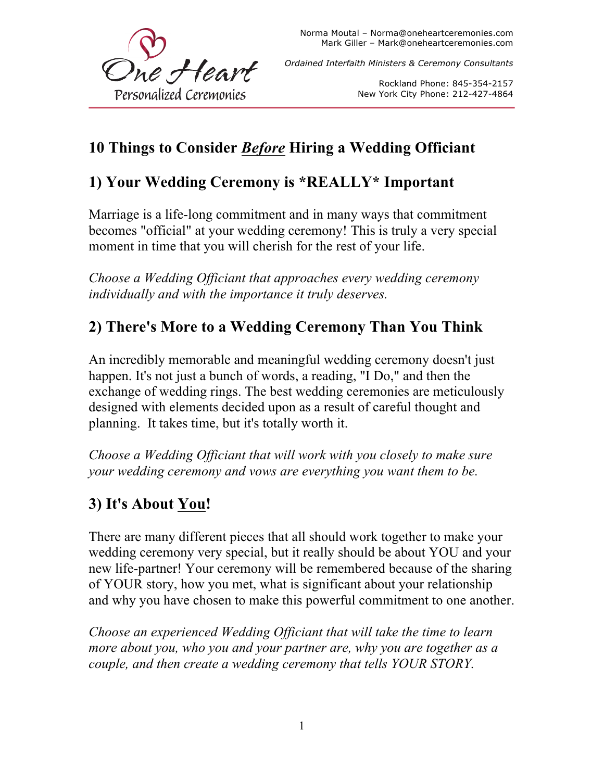

*Ordained Interfaith Ministers & Ceremony Consultants*

Rockland Phone: 845-354-2157 New York City Phone: 212-427-4864

# **10 Things to Consider** *Before* **Hiring a Wedding Officiant**

## **1) Your Wedding Ceremony is \*REALLY\* Important**

Marriage is a life-long commitment and in many ways that commitment becomes "official" at your wedding ceremony! This is truly a very special moment in time that you will cherish for the rest of your life.

*Choose a Wedding Officiant that approaches every wedding ceremony individually and with the importance it truly deserves.*

## **2) There's More to a Wedding Ceremony Than You Think**

An incredibly memorable and meaningful wedding ceremony doesn't just happen. It's not just a bunch of words, a reading, "I Do," and then the exchange of wedding rings. The best wedding ceremonies are meticulously designed with elements decided upon as a result of careful thought and planning. It takes time, but it's totally worth it.

*Choose a Wedding Officiant that will work with you closely to make sure your wedding ceremony and vows are everything you want them to be.*

# **3) It's About You!**

There are many different pieces that all should work together to make your wedding ceremony very special, but it really should be about YOU and your new life-partner! Your ceremony will be remembered because of the sharing of YOUR story, how you met, what is significant about your relationship and why you have chosen to make this powerful commitment to one another.

*Choose an experienced Wedding Officiant that will take the time to learn more about you, who you and your partner are, why you are together as a couple, and then create a wedding ceremony that tells YOUR STORY.*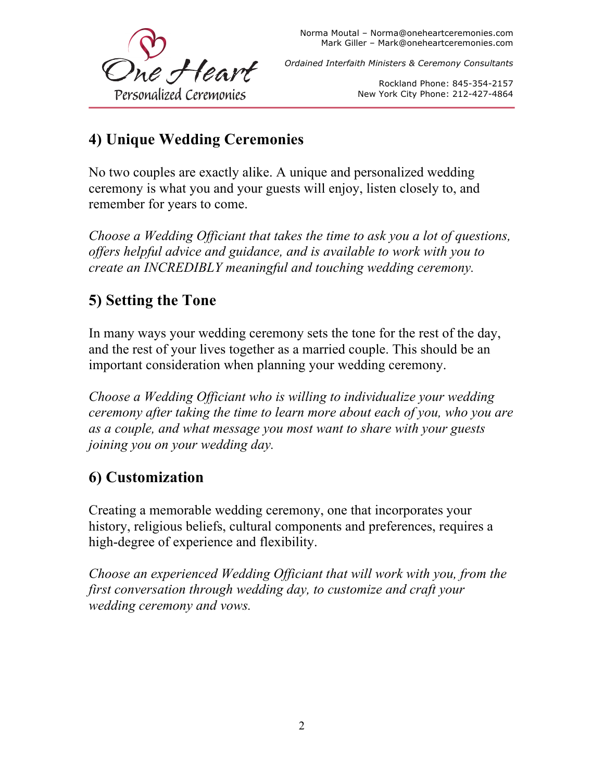

*Ordained Interfaith Ministers & Ceremony Consultants*

Rockland Phone: 845-354-2157 New York City Phone: 212-427-4864

## **4) Unique Wedding Ceremonies**

No two couples are exactly alike. A unique and personalized wedding ceremony is what you and your guests will enjoy, listen closely to, and remember for years to come.

*Choose a Wedding Officiant that takes the time to ask you a lot of questions, offers helpful advice and guidance, and is available to work with you to create an INCREDIBLY meaningful and touching wedding ceremony.* 

## **5) Setting the Tone**

In many ways your wedding ceremony sets the tone for the rest of the day, and the rest of your lives together as a married couple. This should be an important consideration when planning your wedding ceremony.

*Choose a Wedding Officiant who is willing to individualize your wedding ceremony after taking the time to learn more about each of you, who you are as a couple, and what message you most want to share with your guests joining you on your wedding day.*

## **6) Customization**

Creating a memorable wedding ceremony, one that incorporates your history, religious beliefs, cultural components and preferences, requires a high-degree of experience and flexibility.

*Choose an experienced Wedding Officiant that will work with you, from the first conversation through wedding day, to customize and craft your wedding ceremony and vows.*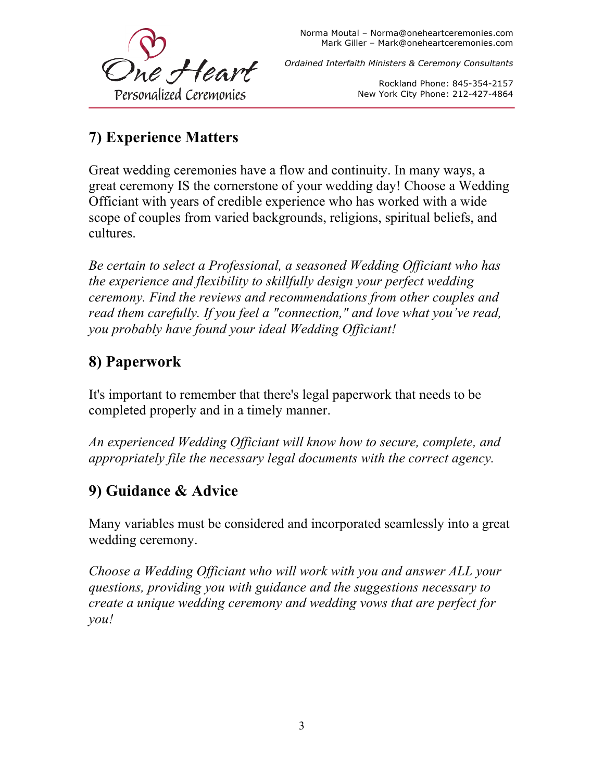

*Ordained Interfaith Ministers & Ceremony Consultants*

Rockland Phone: 845-354-2157 New York City Phone: 212-427-4864

#### **7) Experience Matters**

Great wedding ceremonies have a flow and continuity. In many ways, a great ceremony IS the cornerstone of your wedding day! Choose a Wedding Officiant with years of credible experience who has worked with a wide scope of couples from varied backgrounds, religions, spiritual beliefs, and cultures.

*Be certain to select a Professional, a seasoned Wedding Officiant who has the experience and flexibility to skillfully design your perfect wedding ceremony. Find the reviews and recommendations from other couples and read them carefully. If you feel a "connection," and love what you've read, you probably have found your ideal Wedding Officiant!*

#### **8) Paperwork**

It's important to remember that there's legal paperwork that needs to be completed properly and in a timely manner.

*An experienced Wedding Officiant will know how to secure, complete, and appropriately file the necessary legal documents with the correct agency.*

#### **9) Guidance & Advice**

Many variables must be considered and incorporated seamlessly into a great wedding ceremony.

*Choose a Wedding Officiant who will work with you and answer ALL your questions, providing you with guidance and the suggestions necessary to create a unique wedding ceremony and wedding vows that are perfect for you!*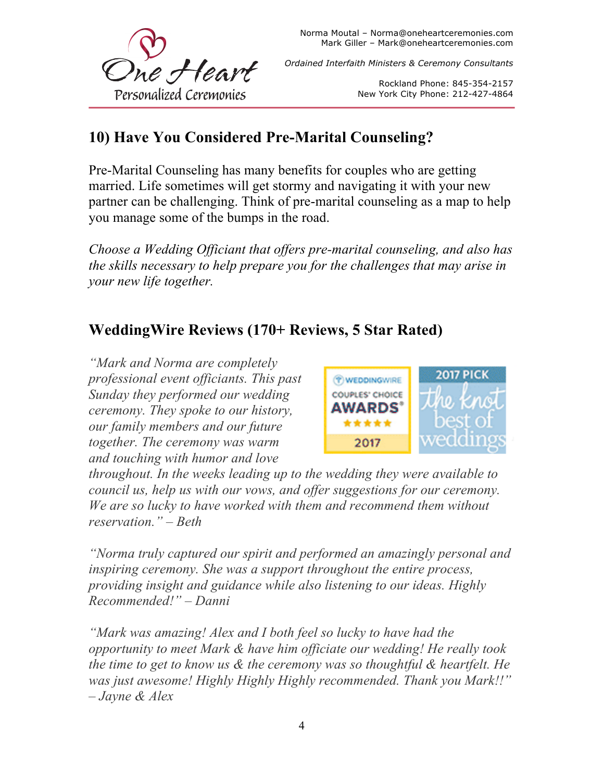

*Ordained Interfaith Ministers & Ceremony Consultants*

Rockland Phone: 845-354-2157 New York City Phone: 212-427-4864

## **10) Have You Considered Pre-Marital Counseling?**

Pre-Marital Counseling has many benefits for couples who are getting married. Life sometimes will get stormy and navigating it with your new partner can be challenging. Think of pre-marital counseling as a map to help you manage some of the bumps in the road.

*Choose a Wedding Officiant that offers pre-marital counseling, and also has the skills necessary to help prepare you for the challenges that may arise in your new life together.*

#### **WeddingWire Reviews (170+ Reviews, 5 Star Rated)**

*"Mark and Norma are completely professional event officiants. This past Sunday they performed our wedding ceremony. They spoke to our history, our family members and our future together. The ceremony was warm and touching with humor and love* 



*throughout. In the weeks leading up to the wedding they were available to council us, help us with our vows, and offer suggestions for our ceremony. We are so lucky to have worked with them and recommend them without reservation." – Beth*

*"Norma truly captured our spirit and performed an amazingly personal and inspiring ceremony. She was a support throughout the entire process, providing insight and guidance while also listening to our ideas. Highly Recommended!" – Danni*

*"Mark was amazing! Alex and I both feel so lucky to have had the opportunity to meet Mark & have him officiate our wedding! He really took the time to get to know us & the ceremony was so thoughtful & heartfelt. He was just awesome! Highly Highly Highly recommended. Thank you Mark!!" – Jayne & Alex*